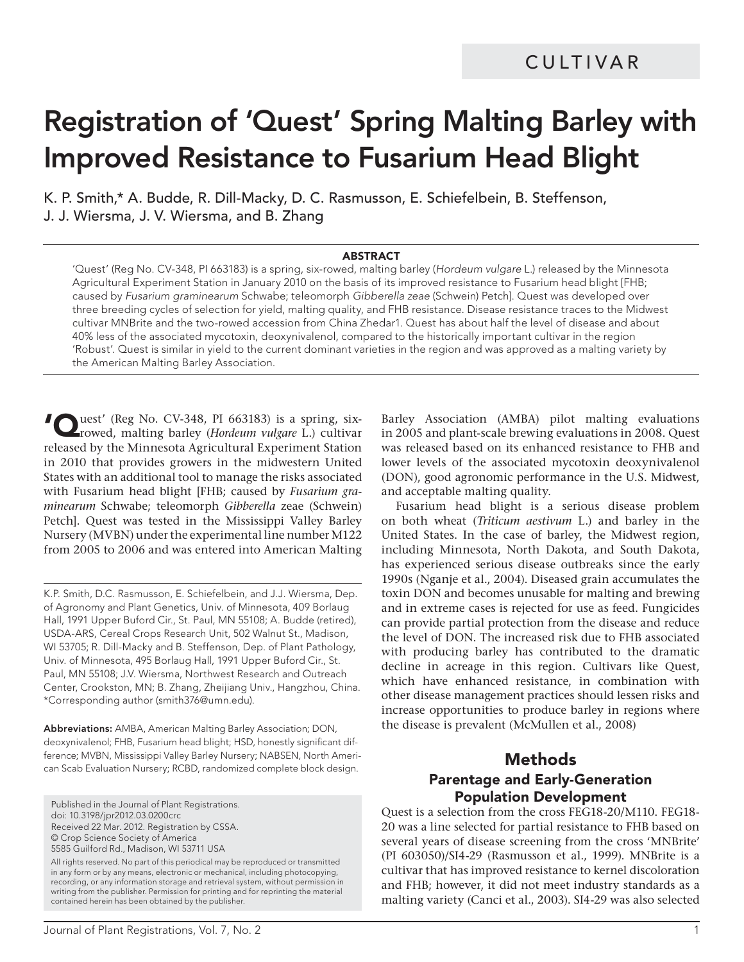# **Registration of 'Quest' Spring Malting Barley with Improved Resistance to Fusarium Head Blight**

K. P. Smith,\* A. Budde, R. Dill-Macky, D. C. Rasmusson, E. Schiefelbein, B. Steffenson, J. J. Wiersma, J. V. Wiersma, and B. Zhang

#### **ABSTRACT**

'Quest' (Reg No. CV-348, PI 663183) is a spring, six-rowed, malting barley (Hordeum vulgare L.) released by the Minnesota Agricultural Experiment Station in January 2010 on the basis of its improved resistance to Fusarium head blight [FHB; caused by Fusarium graminearum Schwabe; teleomorph Gibberella zeae (Schwein) Petch]. Quest was developed over three breeding cycles of selection for yield, malting quality, and FHB resistance. Disease resistance traces to the Midwest cultivar MNBrite and the two-rowed accession from China Zhedar1. Quest has about half the level of disease and about 40% less of the associated mycotoxin, deoxynivalenol, compared to the historically important cultivar in the region 'Robust'. Quest is similar in yield to the current dominant varieties in the region and was approved as a malting variety by the American Malting Barley Association.

**'Q**uest' (Reg No. CV-348, PI 663183) is a spring, six-rowed, malting barley (*Hordeum vulgare* L.) cultivar released by the Minnesota Agricultural Experiment Station in 2010 that provides growers in the midwestern United States with an additional tool to manage the risks associated with Fusarium head blight [FHB; caused by *Fusarium graminearum* Schwabe; teleomorph *Gibberella* zeae (Schwein) Petch]. Quest was tested in the Mississippi Valley Barley Nursery (MVBN) under the experimental line number M122 from 2005 to 2006 and was entered into American Malting

K.P. Smith, D.C. Rasmusson, E. Schiefelbein, and J.J. Wiersma, Dep. of Agronomy and Plant Genetics, Univ. of Minnesota, 409 Borlaug Hall, 1991 Upper Buford Cir., St. Paul, MN 55108; A. Budde (retired), USDA-ARS, Cereal Crops Research Unit, 502 Walnut St., Madison, WI 53705; R. Dill-Macky and B. Steffenson, Dep. of Plant Pathology, Univ. of Minnesota, 495 Borlaug Hall, 1991 Upper Buford Cir., St. Paul, MN 55108; J.V. Wiersma, Northwest Research and Outreach Center, Crookston, MN; B. Zhang, Zheijiang Univ., Hangzhou, China. \*Corresponding author (smith376@umn.edu).

**Abbreviations:** AMBA, American Malting Barley Association; DON, deoxynivalenol; FHB, Fusarium head blight; HSD, honestly significant difference; MVBN, Mississippi Valley Barley Nursery; NABSEN, North American Scab Evaluation Nursery; RCBD, randomized complete block design.

Published in the Journal of Plant Registrations. doi: 10.3198/jpr2012.03.0200crc Received 22 Mar. 2012. Registration by CSSA. © Crop Science Society of America 5585 Guilford Rd., Madison, WI 53711 USA

All rights reserved. No part of this periodical may be reproduced or transmitted in any form or by any means, electronic or mechanical, including photocopying, recording, or any information storage and retrieval system, without permission in writing from the publisher. Permission for printing and for reprinting the material contained herein has been obtained by the publisher.

Barley Association (AMBA) pilot malting evaluations in 2005 and plant-scale brewing evaluations in 2008. Quest was released based on its enhanced resistance to FHB and lower levels of the associated mycotoxin deoxynivalenol (DON), good agronomic performance in the U.S. Midwest, and acceptable malting quality.

Fusarium head blight is a serious disease problem on both wheat (*Triticum aestivum* L.) and barley in the United States. In the case of barley, the Midwest region, including Minnesota, North Dakota, and South Dakota, has experienced serious disease outbreaks since the early 1990s (Nganje et al., 2004). Diseased grain accumulates the toxin DON and becomes unusable for malting and brewing and in extreme cases is rejected for use as feed. Fungicides can provide partial protection from the disease and reduce the level of DON. The increased risk due to FHB associated with producing barley has contributed to the dramatic decline in acreage in this region. Cultivars like Quest, which have enhanced resistance, in combination with other disease management practices should lessen risks and increase opportunities to produce barley in regions where the disease is prevalent (McMullen et al., 2008)

## **Methods Parentage and Early-Generation Population Development**

Quest is a selection from the cross FEG18-20/M110. FEG18- 20 was a line selected for partial resistance to FHB based on several years of disease screening from the cross 'MNBrite' (PI 603050)/SI4-29 (Rasmusson et al., 1999). MNBrite is a cultivar that has improved resistance to kernel discoloration and FHB; however, it did not meet industry standards as a malting variety (Canci et al., 2003). SI4-29 was also selected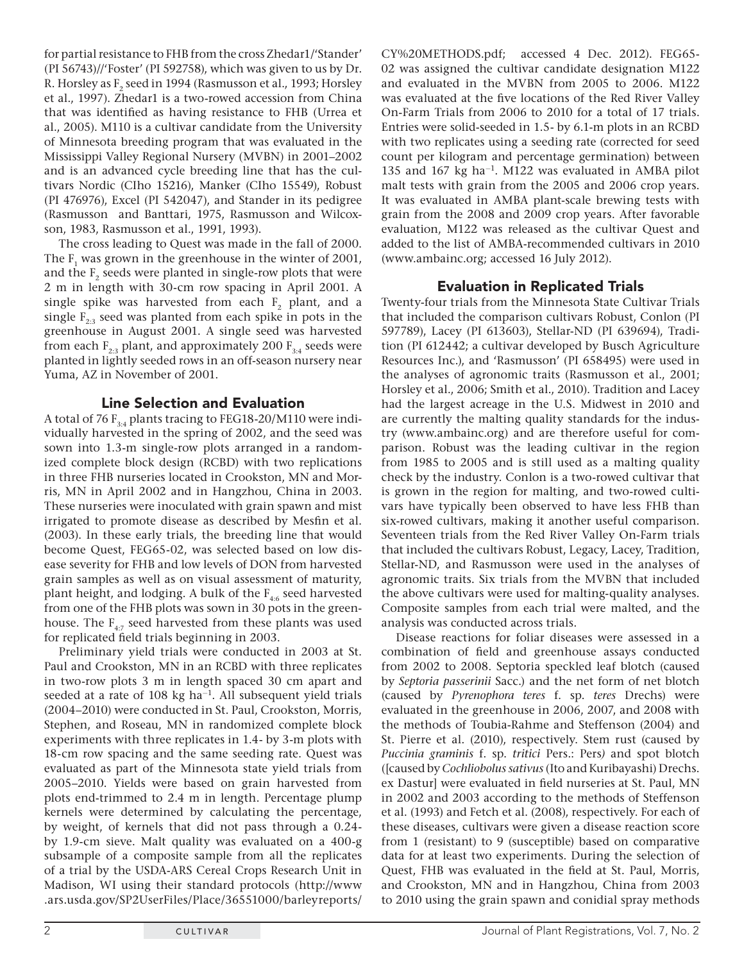for partial resistance to FHB from the cross Zhedar1/'Stander' (PI 56743)//'Foster' (PI 592758), which was given to us by Dr. R. Horsley as  $\mathbb{F}_2$  seed in 1994 (Rasmusson et al., 1993; Horsley et al., 1997). Zhedar1 is a two-rowed accession from China that was identified as having resistance to FHB (Urrea et al., 2005). M110 is a cultivar candidate from the University of Minnesota breeding program that was evaluated in the Mississippi Valley Regional Nursery (MVBN) in 2001–2002 and is an advanced cycle breeding line that has the cultivars Nordic (CIho 15216), Manker (CIho 15549), Robust (PI 476976), Excel (PI 542047), and Stander in its pedigree (Rasmusson and Banttari, 1975, Rasmusson and Wilcoxson, 1983, Rasmusson et al., 1991, 1993).

The cross leading to Quest was made in the fall of 2000. The  $F_1$  was grown in the greenhouse in the winter of 2001, and the  $F<sub>2</sub>$  seeds were planted in single-row plots that were 2 m in length with 30-cm row spacing in April 2001. A single spike was harvested from each  $F<sub>2</sub>$  plant, and a single  $F_{2:3}$  seed was planted from each spike in pots in the greenhouse in August 2001. A single seed was harvested from each  $F_{2:3}$  plant, and approximately 200  $F_{3:4}$  seeds were planted in lightly seeded rows in an off-season nursery near Yuma, AZ in November of 2001.

## **Line Selection and Evaluation**

A total of 76  $F_{3,4}$  plants tracing to FEG18-20/M110 were individually harvested in the spring of 2002, and the seed was sown into 1.3-m single-row plots arranged in a randomized complete block design (RCBD) with two replications in three FHB nurseries located in Crookston, MN and Morris, MN in April 2002 and in Hangzhou, China in 2003. These nurseries were inoculated with grain spawn and mist irrigated to promote disease as described by Mesfin et al. (2003). In these early trials, the breeding line that would become Quest, FEG65-02, was selected based on low disease severity for FHB and low levels of DON from harvested grain samples as well as on visual assessment of maturity, plant height, and lodging. A bulk of the  $F_{4:6}$  seed harvested from one of the FHB plots was sown in 30 pots in the greenhouse. The  $F_{4:7}$  seed harvested from these plants was used for replicated field trials beginning in 2003.

Preliminary yield trials were conducted in 2003 at St. Paul and Crookston, MN in an RCBD with three replicates in two-row plots 3 m in length spaced 30 cm apart and seeded at a rate of 108 kg ha<sup>-1</sup>. All subsequent yield trials (2004–2010) were conducted in St. Paul, Crookston, Morris, Stephen, and Roseau, MN in randomized complete block experiments with three replicates in 1.4- by 3-m plots with 18-cm row spacing and the same seeding rate. Quest was evaluated as part of the Minnesota state yield trials from 2005–2010. Yields were based on grain harvested from plots end-trimmed to 2.4 m in length. Percentage plump kernels were determined by calculating the percentage, by weight, of kernels that did not pass through a 0.24 by 1.9-cm sieve. Malt quality was evaluated on a 400-g subsample of a composite sample from all the replicates of a trial by the USDA-ARS Cereal Crops Research Unit in Madison, WI using their standard protocols (http://www .ars.usda.gov/SP2UserFiles/Place/36551000/barleyreports/

CY%20METHODS.pdf; accessed 4 Dec. 2012). FEG65- 02 was assigned the cultivar candidate designation M122 and evaluated in the MVBN from 2005 to 2006. M122 was evaluated at the five locations of the Red River Valley On-Farm Trials from 2006 to 2010 for a total of 17 trials. Entries were solid-seeded in 1.5- by 6.1-m plots in an RCBD with two replicates using a seeding rate (corrected for seed count per kilogram and percentage germination) between 135 and 167 kg ha<sup>−</sup>1. M122 was evaluated in AMBA pilot malt tests with grain from the 2005 and 2006 crop years. It was evaluated in AMBA plant-scale brewing tests with grain from the 2008 and 2009 crop years. After favorable evaluation, M122 was released as the cultivar Quest and added to the list of AMBA-recommended cultivars in 2010 (www.ambainc.org; accessed 16 July 2012).

## **Evaluation in Replicated Trials**

Twenty-four trials from the Minnesota State Cultivar Trials that included the comparison cultivars Robust, Conlon (PI 597789), Lacey (PI 613603), Stellar-ND (PI 639694), Tradition (PI 612442; a cultivar developed by Busch Agriculture Resources Inc.), and 'Rasmusson' (PI 658495) were used in the analyses of agronomic traits (Rasmusson et al., 2001; Horsley et al., 2006; Smith et al., 2010). Tradition and Lacey had the largest acreage in the U.S. Midwest in 2010 and are currently the malting quality standards for the industry (www.ambainc.org) and are therefore useful for comparison. Robust was the leading cultivar in the region from 1985 to 2005 and is still used as a malting quality check by the industry. Conlon is a two-rowed cultivar that is grown in the region for malting, and two-rowed cultivars have typically been observed to have less FHB than six-rowed cultivars, making it another useful comparison. Seventeen trials from the Red River Valley On-Farm trials that included the cultivars Robust, Legacy, Lacey, Tradition, Stellar-ND, and Rasmusson were used in the analyses of agronomic traits. Six trials from the MVBN that included the above cultivars were used for malting-quality analyses. Composite samples from each trial were malted, and the analysis was conducted across trials.

Disease reactions for foliar diseases were assessed in a combination of field and greenhouse assays conducted from 2002 to 2008. Septoria speckled leaf blotch (caused by *Septoria passerinii* Sacc.) and the net form of net blotch (caused by *Pyrenophora teres* f. sp. *teres* Drechs) were evaluated in the greenhouse in 2006, 2007, and 2008 with the methods of Toubia-Rahme and Steffenson (2004) and St. Pierre et al. (2010), respectively. Stem rust (caused by *Puccinia graminis* f. sp. *tritici* Pers.: Pers*)* and spot blotch ([caused by *Cochliobolus sativus* (Ito and Kuribayashi) Drechs. ex Dastur] were evaluated in field nurseries at St. Paul, MN in 2002 and 2003 according to the methods of Steffenson et al. (1993) and Fetch et al. (2008), respectively. For each of these diseases, cultivars were given a disease reaction score from 1 (resistant) to 9 (susceptible) based on comparative data for at least two experiments. During the selection of Quest, FHB was evaluated in the field at St. Paul, Morris, and Crookston, MN and in Hangzhou, China from 2003 to 2010 using the grain spawn and conidial spray methods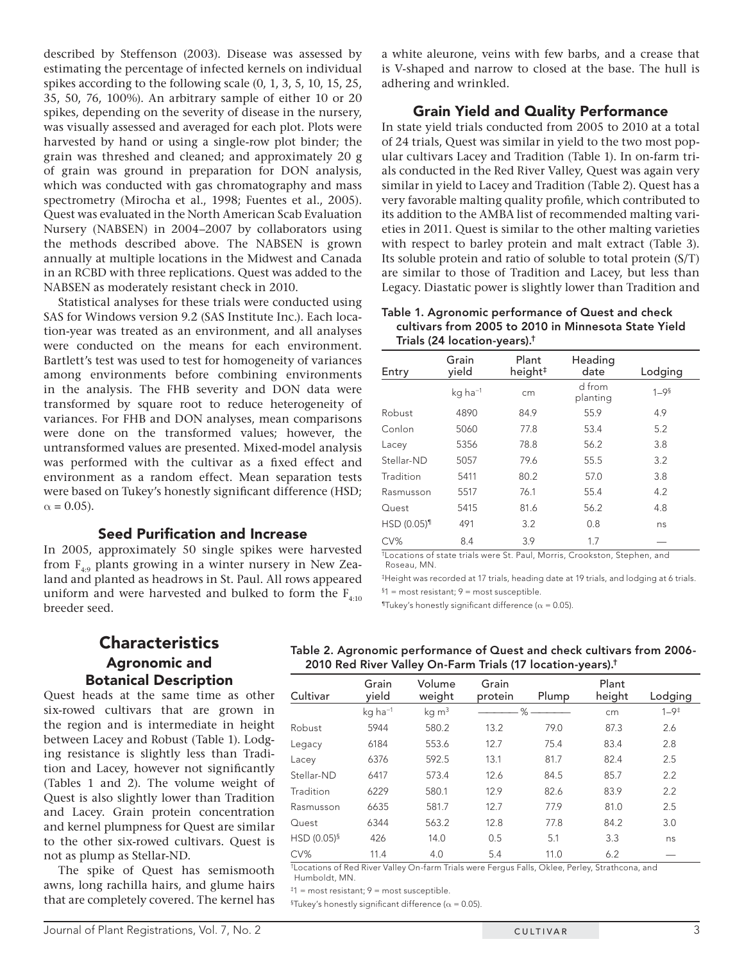described by Steffenson (2003). Disease was assessed by estimating the percentage of infected kernels on individual spikes according to the following scale (0, 1, 3, 5, 10, 15, 25, 35, 50, 76, 100%). An arbitrary sample of either 10 or 20 spikes, depending on the severity of disease in the nursery, was visually assessed and averaged for each plot. Plots were harvested by hand or using a single-row plot binder; the grain was threshed and cleaned; and approximately 20 g of grain was ground in preparation for DON analysis, which was conducted with gas chromatography and mass spectrometry (Mirocha et al., 1998; Fuentes et al., 2005). Quest was evaluated in the North American Scab Evaluation Nursery (NABSEN) in 2004–2007 by collaborators using the methods described above. The NABSEN is grown annually at multiple locations in the Midwest and Canada in an RCBD with three replications. Quest was added to the NABSEN as moderately resistant check in 2010.

Statistical analyses for these trials were conducted using SAS for Windows version 9.2 (SAS Institute Inc.). Each location-year was treated as an environment, and all analyses were conducted on the means for each environment. Bartlett's test was used to test for homogeneity of variances among environments before combining environments in the analysis. The FHB severity and DON data were transformed by square root to reduce heterogeneity of variances. For FHB and DON analyses, mean comparisons were done on the transformed values; however, the untransformed values are presented. Mixed-model analysis was performed with the cultivar as a fixed effect and environment as a random effect. Mean separation tests were based on Tukey's honestly significant difference (HSD;  $\alpha = 0.05$ ).

## **Seed Purification and Increase**

In 2005, approximately 50 single spikes were harvested from  $F_{4.9}$  plants growing in a winter nursery in New Zealand and planted as headrows in St. Paul. All rows appeared uniform and were harvested and bulked to form the  $F_{4:10}$ breeder seed.

a white aleurone, veins with few barbs, and a crease that is V-shaped and narrow to closed at the base. The hull is adhering and wrinkled.

## **Grain Yield and Quality Performance**

In state yield trials conducted from 2005 to 2010 at a total of 24 trials, Quest was similar in yield to the two most popular cultivars Lacey and Tradition (Table 1). In on-farm trials conducted in the Red River Valley, Quest was again very similar in yield to Lacey and Tradition (Table 2). Quest has a very favorable malting quality profile, which contributed to its addition to the AMBA list of recommended malting varieties in 2011. Quest is similar to the other malting varieties with respect to barley protein and malt extract (Table 3). Its soluble protein and ratio of soluble to total protein (S/T) are similar to those of Tradition and Lacey, but less than Legacy. Diastatic power is slightly lower than Tradition and

**Table 1. Agronomic performance of Quest and check cultivars from 2005 to 2010 in Minnesota State Yield Trials (24 location-years).†**

|                            | Grain                 | Plant               | Heading            |                      |
|----------------------------|-----------------------|---------------------|--------------------|----------------------|
| Entry                      | yield                 | height <sup>‡</sup> | date               | Lodging              |
|                            | $kq$ ha <sup>-1</sup> | cm                  | d from<br>planting | $1 - 9$ <sup>§</sup> |
| Robust                     | 4890                  | 84.9                | 55.9               | 4.9                  |
| Conlon                     | 5060                  | 77.8                | 53.4               | 5.2                  |
| Lacey                      | 5356                  | 78.8                | 56.2               | 3.8                  |
| Stellar-ND                 | 5057                  | 79.6                | 55.5               | 3.2                  |
| Tradition                  | 5411                  | 80.2                | 57.0               | 3.8                  |
| Rasmusson                  | 5517                  | 76.1                | 55.4               | 4.2                  |
| Quest                      | 5415                  | 81.6                | 56.2               | 4.8                  |
| $HSD (0.05)$ <sup>11</sup> | 491                   | 3.2                 | 0.8                | ns                   |
| CV%                        | 8.4                   | 3.9                 | 1.7                |                      |

†Locations of state trials were St. Paul, Morris, Crookston, Stephen, and Roseau, MN.

‡Height was recorded at 17 trials, heading date at 19 trials, and lodging at 6 trials. § 1 = most resistant; 9 = most susceptible.

**Tukey's honestly significant difference (** $\alpha$  **= 0.05).** 

## **Characteristics Agronomic and Botanical Description**

Quest heads at the same time as other six-rowed cultivars that are grown in the region and is intermediate in height between Lacey and Robust (Table 1). Lodging resistance is slightly less than Tradition and Lacey, however not significantly (Tables 1 and 2). The volume weight of Quest is also slightly lower than Tradition and Lacey. Grain protein concentration and kernel plumpness for Quest are similar to the other six-rowed cultivars. Quest is not as plump as Stellar-ND.

The spike of Quest has semismooth awns, long rachilla hairs, and glume hairs that are completely covered. The kernel has

| Table 2. Agronomic performance of Quest and check cultivars from 2006- |  |
|------------------------------------------------------------------------|--|
| 2010 Red River Valley On-Farm Trials (17 location-years). <sup>†</sup> |  |

| Cultivar         | Grain<br>yield        | Volume<br>weight  | Grain<br>protein | Plump | Plant<br>height | Lodging            |
|------------------|-----------------------|-------------------|------------------|-------|-----------------|--------------------|
|                  | $kg$ ha <sup>-1</sup> | kg m <sup>3</sup> |                  | $% -$ | cm              | $1 - 9^{\ddagger}$ |
| Robust           | 5944                  | 580.2             | 13.2             | 79.0  | 87.3            | 2.6                |
| Legacy           | 6184                  | 553.6             | 12.7             | 75.4  | 83.4            | 2.8                |
| Lacey            | 6376                  | 592.5             | 13.1             | 81.7  | 82.4            | 2.5                |
| Stellar-ND       | 6417                  | 573.4             | 12.6             | 84.5  | 85.7            | 2.2                |
| Tradition        | 6229                  | 580.1             | 12.9             | 82.6  | 83.9            | 2.2                |
| Rasmusson        | 6635                  | 581.7             | 12.7             | 77.9  | 81.0            | 2.5                |
| Quest            | 6344                  | 563.2             | 12.8             | 77.8  | 84.2            | 3.0                |
| HSD $(0.05)^{5}$ | 426                   | 14.0              | 0.5              | 5.1   | 3.3             | ns                 |
| CV%              | 11.4                  | 4.0               | 5.4              | 11.0  | 6.2             |                    |

†Locations of Red River Valley On-farm Trials were Fergus Falls, Oklee, Perley, Strathcona, and Humboldt, MN.

 $*1$  = most resistant;  $9$  = most susceptible.

§Tukey's honestly significant difference ( $\alpha$  = 0.05).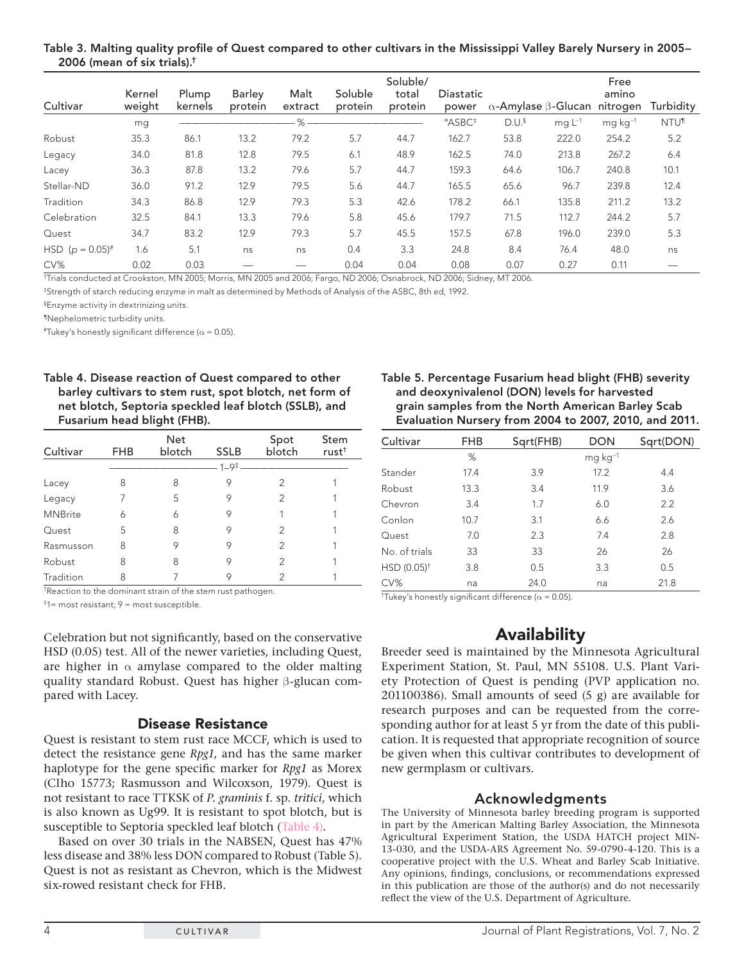#### Table 3. Malting quality profile of Quest compared to other cultivars in the Mississippi Valley Barely Nursery in 2005– **2006 (mean of six trials).†**

|                       |                  |                  |                   |                 |                    | Soluble/         |                    |                                            |             | Free          |                        |
|-----------------------|------------------|------------------|-------------------|-----------------|--------------------|------------------|--------------------|--------------------------------------------|-------------|---------------|------------------------|
| Cultivar              | Kernel<br>weight | Plump<br>kernels | Barley<br>protein | Malt<br>extract | Soluble<br>protein | total<br>protein | Diastatic<br>power | $\alpha$ -Amylase $\beta$ -Glucan nitrogen |             | amino         | Turbidity              |
|                       | mg               |                  |                   | %               |                    |                  | °ASBC <sup>‡</sup> | $D.U.\S$                                   | mg $L^{-1}$ | $mg\ kg^{-1}$ | <b>NTU<sup>1</sup></b> |
| Robust                | 35.3             | 86.1             | 13.2              | 79.2            | 5.7                | 44.7             | 162.7              | 53.8                                       | 222.0       | 254.2         | 5.2                    |
| Legacy                | 34.0             | 81.8             | 12.8              | 79.5            | 6.1                | 48.9             | 162.5              | 74.0                                       | 213.8       | 267.2         | 6.4                    |
| Lacey                 | 36.3             | 87.8             | 13.2              | 79.6            | 5.7                | 44.7             | 159.3              | 64.6                                       | 106.7       | 240.8         | 10.1                   |
| Stellar-ND            | 36.0             | 91.2             | 12.9              | 79.5            | 5.6                | 44.7             | 165.5              | 65.6                                       | 96.7        | 239.8         | 12.4                   |
| Tradition             | 34.3             | 86.8             | 12.9              | 79.3            | 5.3                | 42.6             | 178.2              | 66.1                                       | 135.8       | 211.2         | 13.2                   |
| Celebration           | 32.5             | 84.1             | 13.3              | 79.6            | 5.8                | 45.6             | 179.7              | 71.5                                       | 112.7       | 244.2         | 5.7                    |
| Quest                 | 34.7             | 83.2             | 12.9              | 79.3            | 5.7                | 45.5             | 157.5              | 67.8                                       | 196.0       | 239.0         | 5.3                    |
| HSD $(p = 0.05)^{\#}$ | 1.6              | 5.1              | ns                | ns              | 0.4                | 3.3              | 24.8               | 8.4                                        | 76.4        | 48.0          | ns                     |
| CV%                   | 0.02             | 0.03             |                   |                 | 0.04               | 0.04             | 0.08               | 0.07                                       | 0.27        | 0.11          |                        |

†Trials conducted at Crookston, MN 2005; Morris, MN 2005 and 2006; Fargo, ND 2006; Osnabrock, ND 2006; Sidney, MT 2006.

‡Strength of starch reducing enzyme in malt as determined by Methods of Analysis of the ASBC, 8th ed, 1992.

§Enzyme activity in dextrinizing units.

¶Nephelometric turbidity units.

*\**Tukey's honestly significant difference ( $\alpha$  = 0.05).

**Table 4. Disease reaction of Quest compared to other barley cultivars to stem rust, spot blotch, net form of net blotch, Septoria speckled leaf blotch (SSLB), and Fusarium head blight (FHB).**

| Cultivar       | <b>FHB</b> | <b>Net</b><br>blotch | <b>SSLB</b>          | Spot<br>blotch | Stem<br>rust <sup>+</sup> |
|----------------|------------|----------------------|----------------------|----------------|---------------------------|
|                |            |                      | $1 - 9^{\ddagger}$ – |                |                           |
| Lacey          | 8          | 8                    | 9                    | 2              |                           |
| Legacy         |            | 5                    | 9                    | $\mathcal{P}$  |                           |
| <b>MNBrite</b> | 6          | 6                    | 9                    |                |                           |
| Quest          | 5          | 8                    | 9                    | 2              |                           |
| Rasmusson      | 8          | 9                    | 9                    | $\mathfrak{D}$ |                           |
| Robust         | 8          | 8                    | 9                    | $\mathfrak{D}$ |                           |
| Tradition      | 8          |                      |                      | 2              |                           |

†Reaction to the dominant strain of the stem rust pathogen.

‡1= most resistant; 9 = most susceptible.

Celebration but not significantly, based on the conservative HSD (0.05) test. All of the newer varieties, including Quest, are higher in  $\alpha$  amylase compared to the older malting quality standard Robust. Quest has higher β-glucan compared with Lacey.

## **Disease Resistance**

Quest is resistant to stem rust race MCCF, which is used to detect the resistance gene *Rpg1*, and has the same marker haplotype for the gene specific marker for *Rpg1* as Morex (CIho 15773; Rasmusson and Wilcoxson, 1979). Quest is not resistant to race TTKSK of *P. graminis* f. sp. *tritici*, which is also known as Ug99. It is resistant to spot blotch, but is susceptible to Septoria speckled leaf blotch (Table 4).

Based on over 30 trials in the NABSEN, Quest has 47% less disease and 38% less DON compared to Robust (Table 5). Quest is not as resistant as Chevron, which is the Midwest six-rowed resistant check for FHB.

## **Table 5. Percentage Fusarium head blight (FHB) severity and deoxynivalenol (DON) levels for harvested grain samples from the North American Barley Scab Evaluation Nursery from 2004 to 2007, 2010, and 2011.**

| Cultivar       | FHB  | Sqrt(FHB) | <b>DON</b>             | Sqrt(DON) |
|----------------|------|-----------|------------------------|-----------|
|                | %    |           | $mg \, \text{kg}^{-1}$ |           |
| Stander        | 17.4 | 3.9       | 17.2                   | 4.4       |
| Robust         | 13.3 | 3.4       | 11.9                   | 3.6       |
| Chevron        | 3.4  | 1.7       | 6.0                    | 2.2       |
| Conlon         | 10.7 | 3.1       | 6.6                    | 2.6       |
| Quest          | 7.0  | 2.3       | 7.4                    | 2.8       |
| No. of trials  | 33   | 33        | 26                     | 26        |
| $HSD (0.05)^+$ | 3.8  | 0.5       | 3.3                    | 0.5       |
| CV%            | na   | 24.0      | na                     | 21.8      |

<sup>†</sup>Tukey's honestly significant difference ( $\alpha$  = 0.05).

## **Availability**

Breeder seed is maintained by the Minnesota Agricultural Experiment Station, St. Paul, MN 55108. U.S. Plant Variety Protection of Quest is pending (PVP application no. 201100386). Small amounts of seed (5 g) are available for research purposes and can be requested from the corresponding author for at least 5 yr from the date of this publication. It is requested that appropriate recognition of source be given when this cultivar contributes to development of new germplasm or cultivars.

## **Acknowledgments**

The University of Minnesota barley breeding program is supported in part by the American Malting Barley Association, the Minnesota Agricultural Experiment Station, the USDA HATCH project MIN-13-030, and the USDA-ARS Agreement No. 59-0790-4-120. This is a cooperative project with the U.S. Wheat and Barley Scab Initiative. Any opinions, findings, conclusions, or recommendations expressed in this publication are those of the author(s) and do not necessarily reflect the view of the U.S. Department of Agriculture.